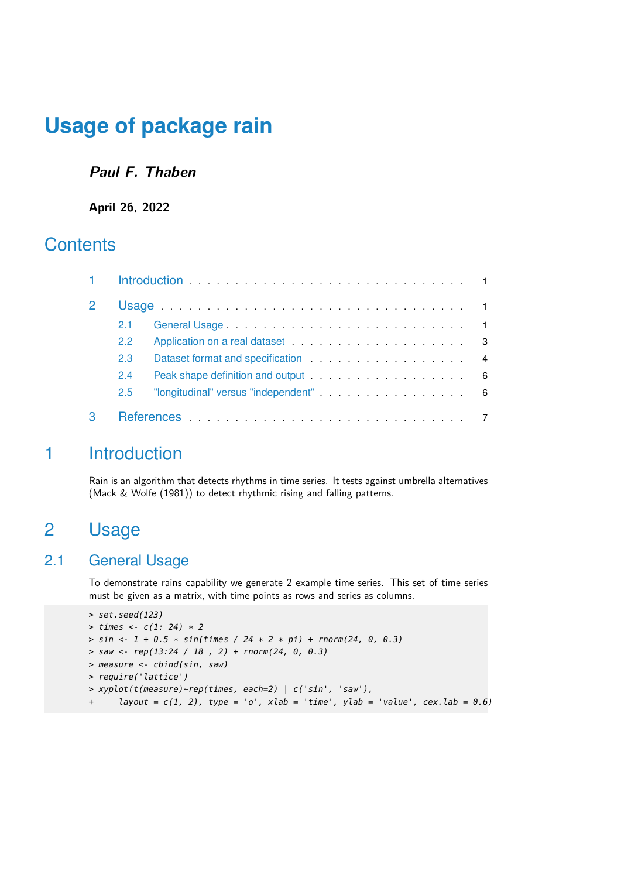### **Paul F. Thaben**

#### **April 26, 2022**

## **Contents**

| 2.1 |                                                                                                                                                                                                                               |  |
|-----|-------------------------------------------------------------------------------------------------------------------------------------------------------------------------------------------------------------------------------|--|
| 2.2 | Application on a real dataset expansion of the state of the state of the state of the state of the state of the state of the state of the state of the state of the state of the state of the state of the state of the state |  |
| 2.3 |                                                                                                                                                                                                                               |  |
| 2.4 |                                                                                                                                                                                                                               |  |
| 2.5 | "longitudinal" versus "independent"<br>6                                                                                                                                                                                      |  |
|     |                                                                                                                                                                                                                               |  |

## <span id="page-0-0"></span>1 Introduction

<span id="page-0-1"></span>Rain is an algorithm that detects rhythms in time series. It tests against umbrella alternatives (Mack & Wolfe (1981)) to detect rhythmic rising and falling patterns.

## 2 Usage

## 2.1 General Usage

<span id="page-0-2"></span>To demonstrate rains capability we generate 2 example time series. This set of time series must be given as a matrix, with time points as rows and series as columns.

```
> set.seed(123)
> times <- c(1: 24) * 2
> sin <- 1 + 0.5 * sin(times / 24 * 2 * pi) + rnorm(24, 0, 0.3)
> saw <- rep(13:24 / 18, 2) + rnorm(24, 0, 0.3)
> measure <- cbind(sin, saw)
> require('lattice')
> xyplot(t(measure)~rep(times, each=2) | c('sin', 'saw'),
      layout = c(1, 2), type = 'o', xlab = 'time', ylab = 'value', cex.lab = 0.6)
```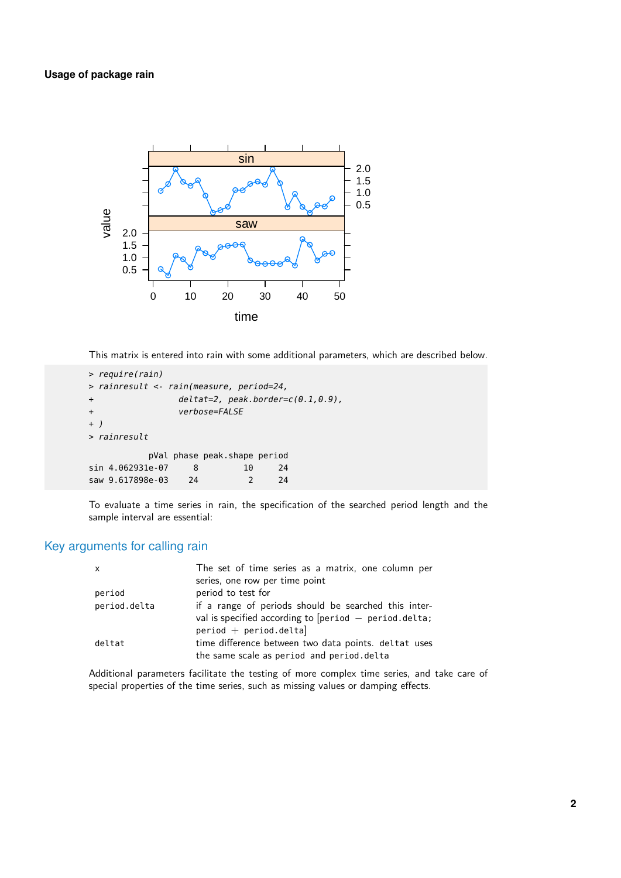

This matrix is entered into rain with some additional parameters, which are described below.

```
> require(rain)
> rainresult <- rain(measure, period=24,
+ deltat=2, peak.border=c(0.1,0.9),
+ verbose=FALSE
+ )
> rainresult
         pVal phase peak.shape period
sin 4.062931e-07 8 10 24
saw 9.617898e-03 24 2 24
```
To evaluate a time series in rain, the specification of the searched period length and the sample interval are essential:

### Key arguments for calling rain

| $\mathsf{x}$ | The set of time series as a matrix, one column per      |  |  |
|--------------|---------------------------------------------------------|--|--|
|              | series, one row per time point                          |  |  |
| period       | period to test for                                      |  |  |
| period.delta | if a range of periods should be searched this inter-    |  |  |
|              | val is specified according to $[period - period.delta]$ |  |  |
|              | $period + period.$ delta]                               |  |  |
| deltat       | time difference between two data points. deltat uses    |  |  |
|              | the same scale as period and period.delta               |  |  |

Additional parameters facilitate the testing of more complex time series, and take care of special properties of the time series, such as missing values or damping effects.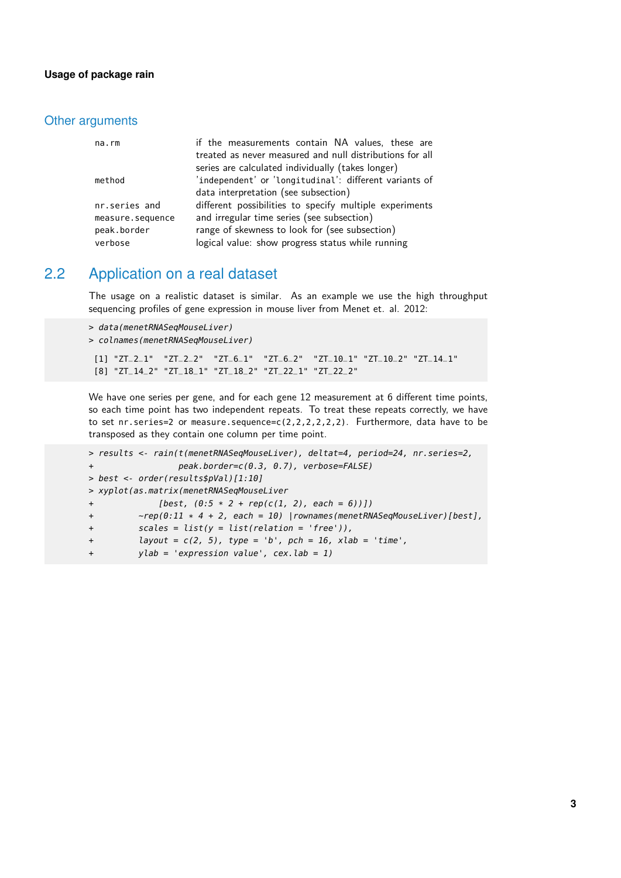#### Other arguments

| na.rm            | if the measurements contain NA values, these are         |
|------------------|----------------------------------------------------------|
|                  | treated as never measured and null distributions for all |
|                  | series are calculated individually (takes longer)        |
| method           | 'independent' or 'longitudinal': different variants of   |
|                  | data interpretation (see subsection)                     |
| nr.series and    | different possibilities to specify multiple experiments  |
| measure.sequence | and irregular time series (see subsection)               |
| peak.border      | range of skewness to look for (see subsection)           |
| verbose          | logical value: show progress status while running        |

## 2.2 Application on a real dataset

<span id="page-2-0"></span>The usage on a realistic dataset is similar. As an example we use the high throughput sequencing profiles of gene expression in mouse liver from Menet et. al. 2012:

```
> data(menetRNASeqMouseLiver)
> colnames(menetRNASeqMouseLiver)
 [1] "ZT_2_1" "ZT_2_2" "ZT_6_1" "ZT_6_2" "ZT_10_1" "ZT_10_2" "ZT_14_1"
```
[8] "ZT\_14\_2" "ZT\_18\_1" "ZT\_18\_2" "ZT\_22\_1" "ZT\_22\_2"

We have one series per gene, and for each gene 12 measurement at 6 different time points, so each time point has two independent repeats. To treat these repeats correctly, we have to set nr.series=2 or measure.sequence=c(2,2,2,2,2,2). Furthermore, data have to be transposed as they contain one column per time point.

```
> results <- rain(t(menetRNASeqMouseLiver), deltat=4, period=24, nr.series=2,
+ peak.border=c(0.3, 0.7), verbose=FALSE)
> best <- order(results$pVal)[1:10]
> xyplot(as.matrix(menetRNASeqMouseLiver
+ [best, (0:5 * 2 + rep(c(1, 2), each = 6))])
+ ~rep(0:11 * 4 + 2, each = 10) |rownames(menetRNASeqMouseLiver)[best],
+ scales = list(y = list(relation = 'free')),
+ layout = c(2, 5), type = 'b', pch = 16, xlab = 'time',
         ylab = 'expression value', cex.lab = 1)
```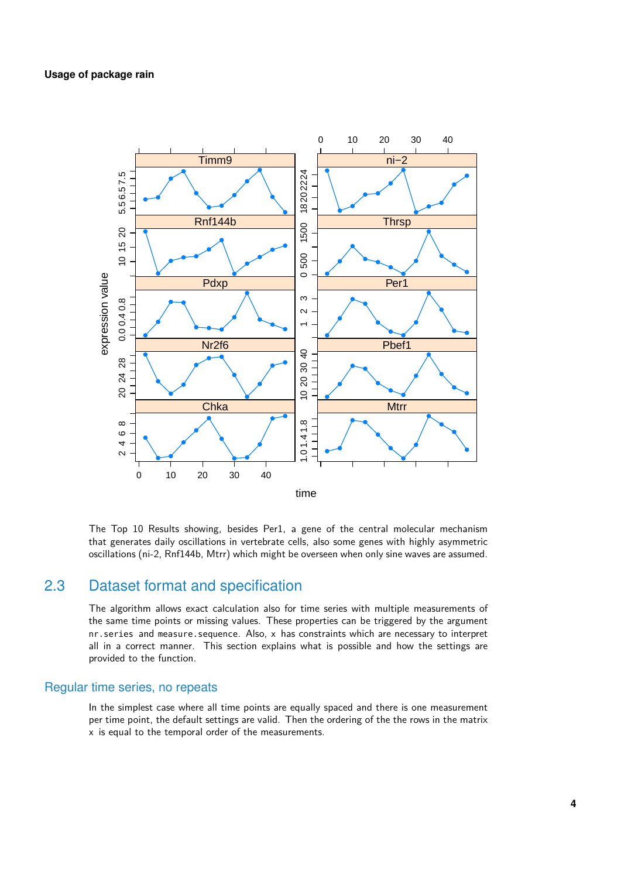

<span id="page-3-0"></span>The Top 10 Results showing, besides Per1, a gene of the central molecular mechanism that generates daily oscillations in vertebrate cells, also some genes with highly asymmetric oscillations (ni-2, Rnf144b, Mtrr) which might be overseen when only sine waves are assumed.

## 2.3 Dataset format and specification

The algorithm allows exact calculation also for time series with multiple measurements of the same time points or missing values. These properties can be triggered by the argument nr.series and measure.sequence. Also, x has constraints which are necessary to interpret all in a correct manner. This section explains what is possible and how the settings are provided to the function.

#### Regular time series, no repeats

In the simplest case where all time points are equally spaced and there is one measurement per time point, the default settings are valid. Then the ordering of the the rows in the matrix x is equal to the temporal order of the measurements.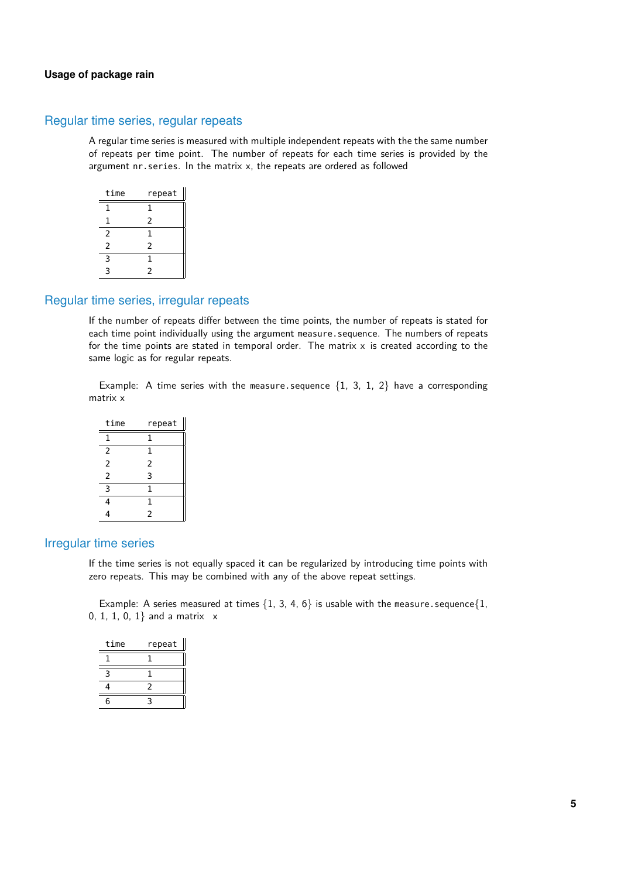#### Regular time series, regular repeats

A regular time series is measured with multiple independent repeats with the the same number of repeats per time point. The number of repeats for each time series is provided by the argument nr.series. In the matrix x, the repeats are ordered as followed

| time           | repeat |
|----------------|--------|
| 1              | 1      |
| 1              | 2      |
| 2              | 1      |
| $\overline{2}$ | 2      |
| 3              | 1      |
| ς              | 2      |

#### Regular time series, irregular repeats

If the number of repeats differ between the time points, the number of repeats is stated for each time point individually using the argument measure.sequence. The numbers of repeats for the time points are stated in temporal order. The matrix  $x$  is created according to the same logic as for regular repeats.

Example: A time series with the measure.sequence  $\{1, 3, 1, 2\}$  have a corresponding matrix x

| time           | repeat         |
|----------------|----------------|
| 1              | 1              |
| 2              | 1              |
| 2              | $\overline{2}$ |
| $\overline{2}$ | 3              |
| 3              | 1              |
| 4              | 1              |
|                | $\overline{2}$ |

#### Irregular time series

If the time series is not equally spaced it can be regularized by introducing time points with zero repeats. This may be combined with any of the above repeat settings.

Example: A series measured at times  $\{1, 3, 4, 6\}$  is usable with the measure.sequence $\{1, 1, 2, 3, 4, 6\}$ 0, 1, 1, 0, 1} and a matrix x

| time | repeat |
|------|--------|
|      |        |
| ₹    |        |
| 4    | 2      |
| ี่ค  |        |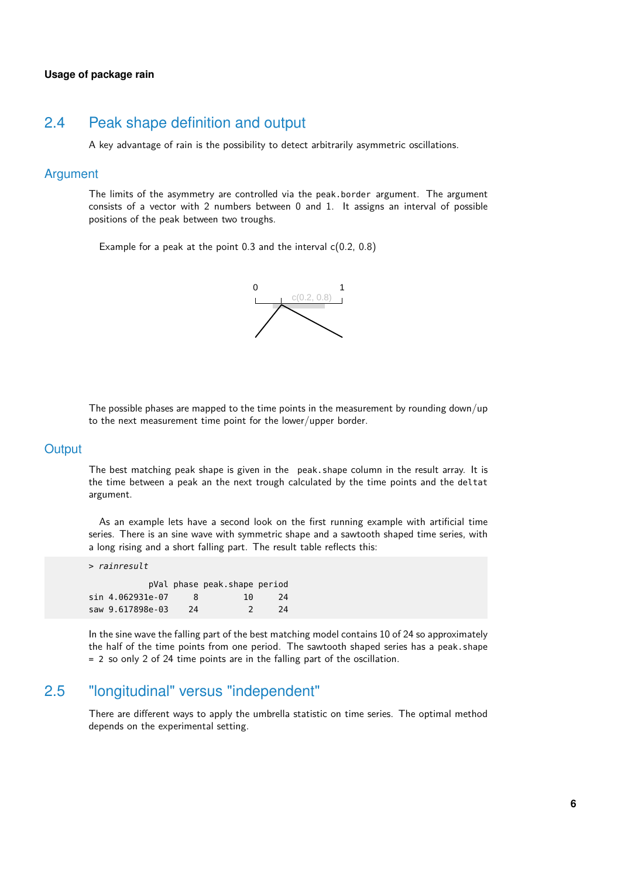### 2.4 Peak shape definition and output

<span id="page-5-0"></span>A key advantage of rain is the possibility to detect arbitrarily asymmetric oscillations.

#### Argument

The limits of the asymmetry are controlled via the peak.border argument. The argument consists of a vector with 2 numbers between 0 and 1. It assigns an interval of possible positions of the peak between two troughs.

Example for a peak at the point 0.3 and the interval c(0.2, 0.8)



The possible phases are mapped to the time points in the measurement by rounding down/up to the next measurement time point for the lower/upper border.

#### **Output**

The best matching peak shape is given in the peak.shape column in the result array. It is the time between a peak an the next trough calculated by the time points and the deltat argument.

As an example lets have a second look on the first running example with artificial time series. There is an sine wave with symmetric shape and a sawtooth shaped time series, with a long rising and a short falling part. The result table reflects this:

> rainresult pVal phase peak.shape period sin 4.062931e-07 8 10 24 saw 9.617898e-03 24 2 24

<span id="page-5-1"></span>In the sine wave the falling part of the best matching model contains 10 of 24 so approximately the half of the time points from one period. The sawtooth shaped series has a peak.shape = 2 so only 2 of 24 time points are in the falling part of the oscillation.

## 2.5 "longitudinal" versus "independent"

There are different ways to apply the umbrella statistic on time series. The optimal method depends on the experimental setting.